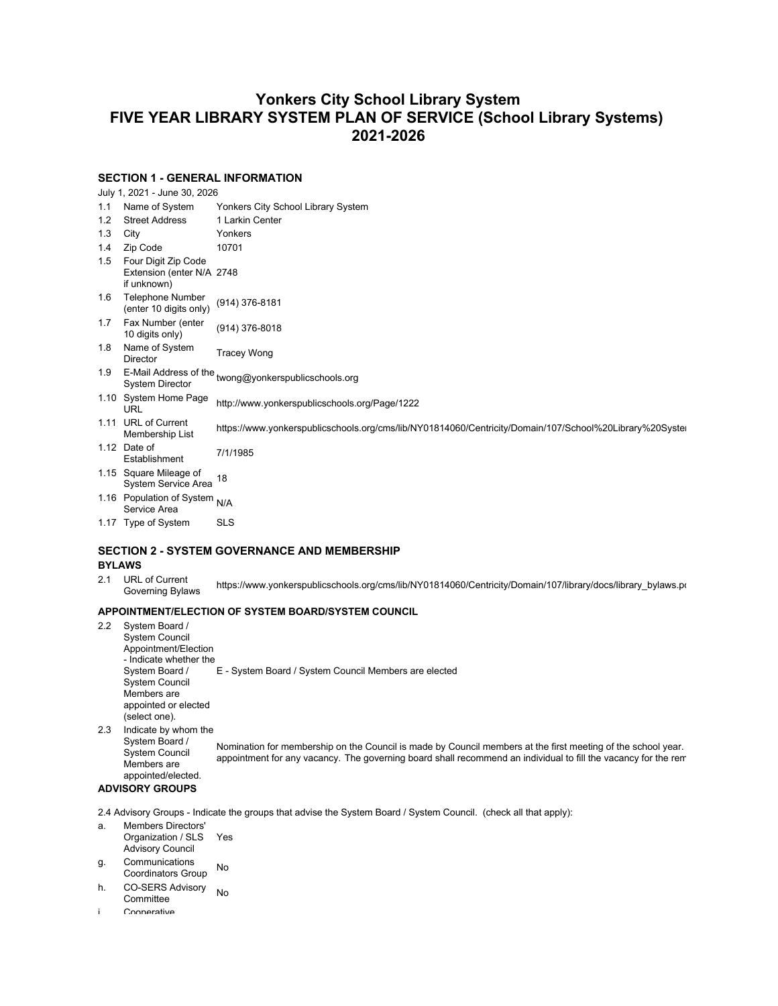# **Yonkers City School Library System FIVE YEAR LIBRARY SYSTEM PLAN OF SERVICE (School Library Systems) 2021-2026**

## **SECTION 1 - GENERAL INFORMATION**

July 1, 2021 - June 30, 2026

| 1.1<br>Name of System | Yonkers City School Library System |
|-----------------------|------------------------------------|
|-----------------------|------------------------------------|

- 1.2 Street Address 1 Larkin Center
- 1.3 City Yonkers
- 1.4 Zip Code 10701
- 1.5 Four Digit Zip Code Extension (enter N/A 2748
- if unknown) 1.6 Telephone Number
- (enter 10 digits only) (914) 376-8181 1.7 Fax Number (enter
- Fax Number (enter (914) 376-8018<br>10 digits only)
- 1.8 Name of System **Tracey Wong**
- 
- 1.9 E-Mail Address of the twong@yonkerspublicschools.org<br>System Director
- 1.10 System Home Page System Home Page http://www.yonkerspublicschools.org/Page/1222
- 1.11 URL of Current URL 01 Current https://www.yonkerspublicschools.org/cms/lib/NY01814060/Centricity/Domain/107/School%20Library%20Systel<br>Membership List
- 1.12 Date of Date of T/1/1985<br>Establishment 7/1/1985
- 1.15 Square Mileage of System Service Area 18
- 
- 1.16 Population of System N/A<br>Service Area
- 1.17 Type of System SLS

## **SECTION 2 - SYSTEM GOVERNANCE AND MEMBERSHIP**

## **BYLAWS**

2.1 URL of Current URL of Current https://www.yonkerspublicschools.org/cms/lib/NY01814060/Centricity/Domain/107/library/docs/library\_bylaws.pdf Governing Bylaws.pdf

## **APPOINTMENT/ELECTION OF SYSTEM BOARD/SYSTEM COUNCIL**

2.2 System Board / System Council Appointment/Election - Indicate whether the System Board / System Council Members are appointed or elected (select one). E - System Board / System Council Members are elected 2.3 Indicate by whom the System Board / System Council Members are appointed/elected. Nomination for membership on the Council is made by Council members at the first meeting of the school year. appointment for any vacancy. The governing board shall recommend an individual to fill the vacancy for the rem

### **ADVISORY GROUPS**

2.4 Advisory Groups - Indicate the groups that advise the System Board / System Council. (check all that apply):

- a. Members Directors' Organization / SLS Advisory Council Yes
- g. Communications Communications No
- h. CO-SERS Advisory No<br>Committee
- i. Cooperative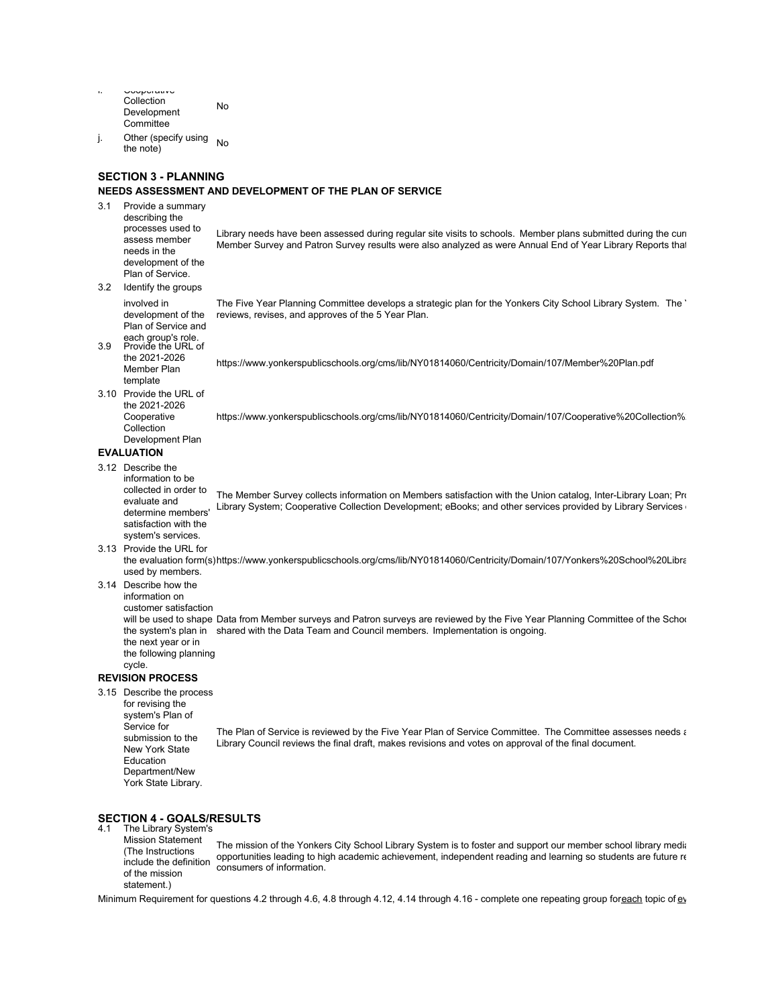| ٠. | <b>UUUPUTUNTU</b>    |    |
|----|----------------------|----|
|    | Collection           | No |
|    | Development          |    |
|    | Committee            |    |
|    | Other (snecify using |    |

j. Other (specify using No<br>the note)

#### **SECTION 3 - PLANNING**

#### **NEEDS ASSESSMENT AND DEVELOPMENT OF THE PLAN OF SERVICE**

3.1 Provide a summary describing the processes used to

assess member

development of the

Library needs have been assessed during regular site visits to schools. Member plans submitted during the curi Member Survey and Patron Survey results were also analyzed as were Annual End of Year Library Reports that

- needs in the Plan of Service.
- 3.2 Identify the groups involved in

development of the Plan of Service and The Five Year Planning Committee develops a strategic plan for the Yonkers City School Library System. The ' reviews, revises, and approves of the 5 Year Plan.

each group's role. 3.9 Provide the URL of the 2021-2026 Member Plan

https://www.yonkerspublicschools.org/cms/lib/NY01814060/Centricity/Domain/107/Member%20Plan.pdf

template 3.10 Provide the URL of the 2021-2026 **Cooperative** 

https://www.yonkerspublicschools.org/cms/lib/NY01814060/Centricity/Domain/107/Cooperative%20Collection%

Collection Development Plan

# **EVALUATION**

3.12 Describe the

information to be collected in order to evaluate and determine members' satisfaction with the system's services. The Member Survey collects information on Members satisfaction with the Union catalog, Inter-Library Loan; Pro Library System; Cooperative Collection Development; eBooks; and other services provided by Library Services

- 3.13 Provide the URL for
- the evaluation form(s)https://www.yonkerspublicschools.org/cms/lib/NY01814060/Centricity/Domain/107/Yonkers%20School%20Libra used by members.
- 3.14 Describe how the information on
	- customer satisfaction

will be used to shape Data from Member surveys and Patron surveys are reviewed by the Five Year Planning Committee of the Schoo the system's plan in shared with the Data Team and Council members. Implementation is ongoing. the next year or in the following planning

cycle.

## **REVISION PROCESS**

3.15 Describe the process

for revising the system's Plan of Service for submission to the New York State Education Department/New York State Library. The Plan of Service is reviewed by the Five Year Plan of Service Committee. The Committee assesses needs and revises and revises and reviewed and reviewed as appropriate. Library Council reviews the final draft, makes revisions and votes on approval of the final document.

# **SECTION 4 - GOALS/RESULTS** 4.1 The Library System's

Mission Statement (The Instructions include the definition of the mission statement.)

The mission of the Yonkers City School Library System is to foster and support our member school library media opportunities leading to high academic achievement, independent reading and learning so students are future re consumers of information.

Minimum Requirement for questions 4.2 through 4.6, 4.8 through 4.12, 4.14 through 4.16 - complete one repeating group for each topic of ev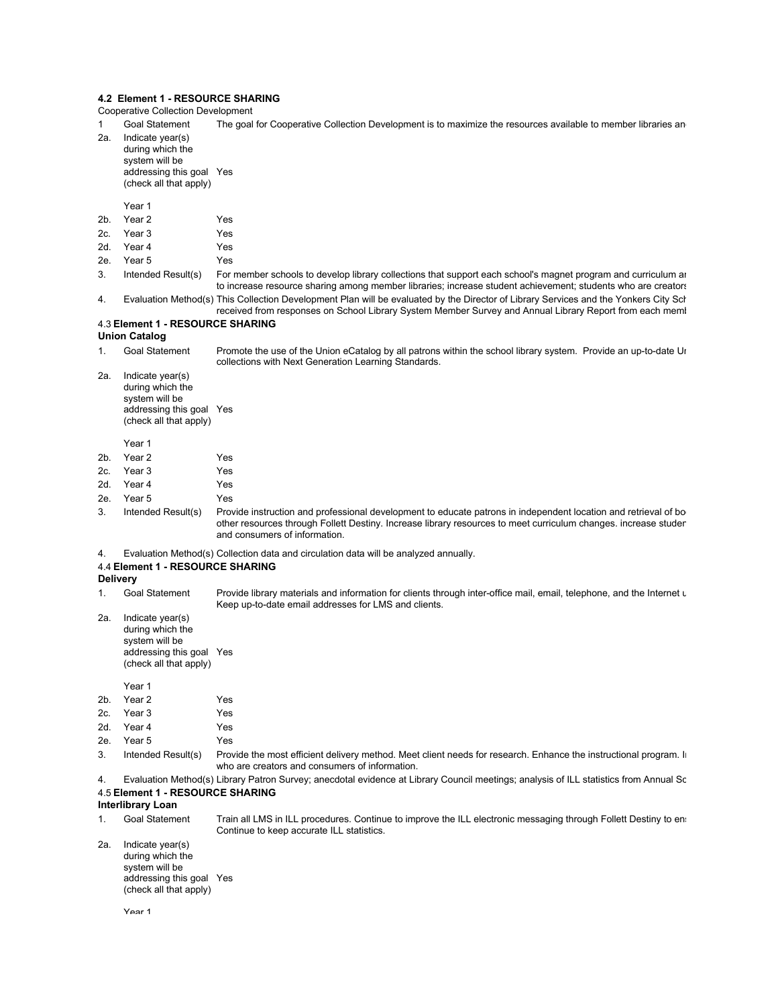#### **4.2 Element 1 - RESOURCE SHARING**

Cooperative Collection Development

- 1 Goal Statement The goal for Cooperative Collection Development is to maximize the resources available to member libraries an
- 2a. Indicate year(s) during which the
	- system will be addressing this goal Yes (check all that apply)

Year 1

- 2b. Year 2 Yes
- 2c. Year 3 Yes
- 2d. Year 4 Yes
- 2e. Year 5 Yes
- 3. Intended Result(s) For member schools to develop library collections that support each school's magnet program and curriculum and to increase resource sharing among member libraries; increase student achievement; students who are creators 4. Evaluation Method(s) This Collection Development Plan will be evaluated by the Director of Library Services and the Yonkers City School Library Council based on information Method Council Based on information on informa
- received from responses on School Library System Member Survey and Annual Library Report from each meml

# 4.3 **Element 1 - RESOURCE SHARING**

# **Union Catalog**

- 1. Goal Statement Promote the use of the Union eCatalog by all patrons within the school library system. Provide an up-to-date Ur collections with Next Generation Learning Standards.
- 2a. Indicate year(s) during which the system will be addressing this goal Yes (check all that apply)

Year 1

| 2b. | Year 2     | <b>Yes</b> |
|-----|------------|------------|
|     | 2c. Year 3 | Yes        |
|     | 2d. Year 4 | Yes        |
|     | 2e. Year 5 | Yes        |

- 3. Intended Result(s) Provide instruction and professional development to educate patrons in independent location and retrieval of bo other resources through Follett Destiny. Increase library resources to meet curriculum changes. increase studen and consumers of information.
- 4. Evaluation Method(s) Collection data and circulation data will be analyzed annually.

#### 4.4 **Element 1 - RESOURCE SHARING**

**Delivery**

- 1. Goal Statement Provide library materials and information for clients through inter-office mail, email, telephone, and the Internet u Keep up-to-date email addresses for LMS and clients.
- 2a. Indicate year(s) during which the system will be addressing this goal Yes (check all that apply)

# Year 1 2b. Year 2 Yes

- 2c. Year 3 Yes 2d. Year 4 Yes 2e. Year 5 Yes
- 3. Intended Result(s) Provide the most efficient delivery method. Meet client needs for research. Enhance the instructional program. In who are creators and consumers of information.
- 4. Evaluation Method(s) Library Patron Survey; anecdotal evidence at Library Council meetings; analysis of ILL statistics from Annual Sc 4.5 **Element 1 - RESOURCE SHARING**

# **Interlibrary Loan**

- 1. Goal Statement Train all LMS in ILL procedures. Continue to improve the ILL electronic messaging through Follett Destiny to en: Continue to keep accurate ILL statistics. 2a. Indicate year(s)
	- during which the system will be addressing this goal Yes(check all that apply)

Year 1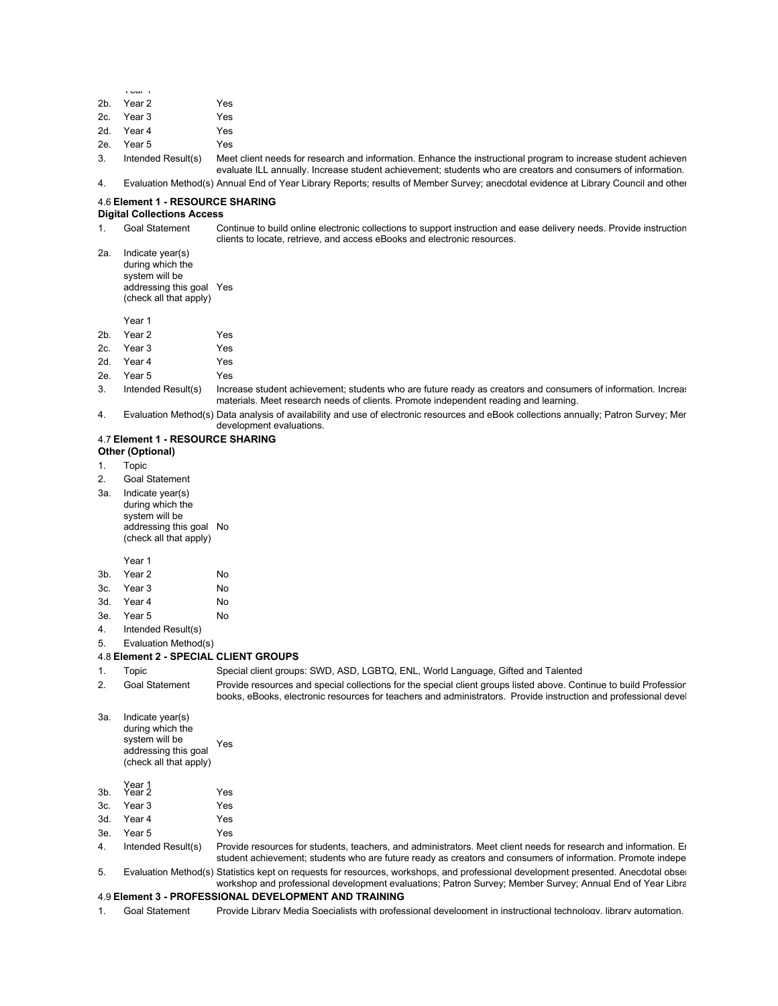|        | i vui i            |               |
|--------|--------------------|---------------|
|        | 2b. Year 2         | Yes           |
|        | 2c. Year 3         | Yes           |
|        | 2d. Year 4         | Yes           |
|        | 2e. Year 5         | Yes           |
| $\sim$ | Indendod Doulli(a) | $M \cap \cap$ |

Intended Result(s) Meet client needs for research and information. Enhance the instructional program to increase student achieven evaluate ILL annually. Increase student achievement; students who are creators and consumers of information. 4. Evaluation Method(s) Annual End of Year Library Reports; results of Member Survey; anecdotal evidence at Library Council and other

#### 4.6 **Element 1 - RESOURCE SHARING**

#### **Digital Collections Access**

- 1. Goal Statement Continue to build online electronic collections to support instruction and ease delivery needs. Provide instruction clients to locate, retrieve, and access eBooks and electronic resources.
- 2a. Indicate year(s) during which the system will be addressing this goal Yes (check all that apply)

Year 1

- 2b. Year 2 Yes
- 2c. Year 3 Yes 2d. Year 4 Yes
- 2e. Year 5 Yes
- 3. Intended Result(s) Increase student achievement; students who are future ready as creators and consumers of information. Increas materials. Meet research needs of clients. Promote independent reading and learning.
- 4. Evaluation Method(s) Data analysis of availability and use of electronic resources and eBook collections annually; Patron Survey; Mer development evaluations.

#### 4.7 **Element 1 - RESOURCE SHARING Other (Optional)**

- 1. Topic
- 2. Goal Statement
- 3a. Indicate year(s)
	- during which the system will be addressing this goal No (check all that apply)

#### Year 1

| 3b. Year 2 | No |
|------------|----|
| 3c. Year 3 | No |
| 3d. Year 4 | No |

- 3e. Year 5 No
- 4. Intended Result(s)
- 5. Evaluation Method(s)

#### 4.8 **Element 2 - SPECIAL CLIENT GROUPS**

- 
- 1. Topic Special client groups: SWD, ASD, LGBTQ, ENL, World Language, Gifted and Talented
- 2. Goal Statement Provide resources and special collections for the special client groups listed above. Continue to build Professior books, eBooks, electronic resources for teachers and administrators. Provide instruction and professional devel
- 3a. Indicate year(s) during which the system will be addressing this goal (check all that apply) Yes

# Year 1 3b. Year 2 Yes

- 3c. Year 3 Yes
- 3d. Year 4 Yes
- 3e. Year 5 Yes

#### 4. Intended Result(s) Provide resources for students, teachers, and administrators. Meet client needs for research and information. En student achievement; students who are future ready as creators and consumers of information. Promote indepe

5. Evaluation Method(s) Statistics kept on requests for resources, workshops, and professional development presented. Anecdotal obser workshop and professional development evaluations; Patron Survey; Member Survey; Annual End of Year Libra

#### 4.9 **Element 3 - PROFESSIONAL DEVELOPMENT AND TRAINING**

1. Goal Statement Provide Library Media Specialists with professional development in instructional technology, library automation,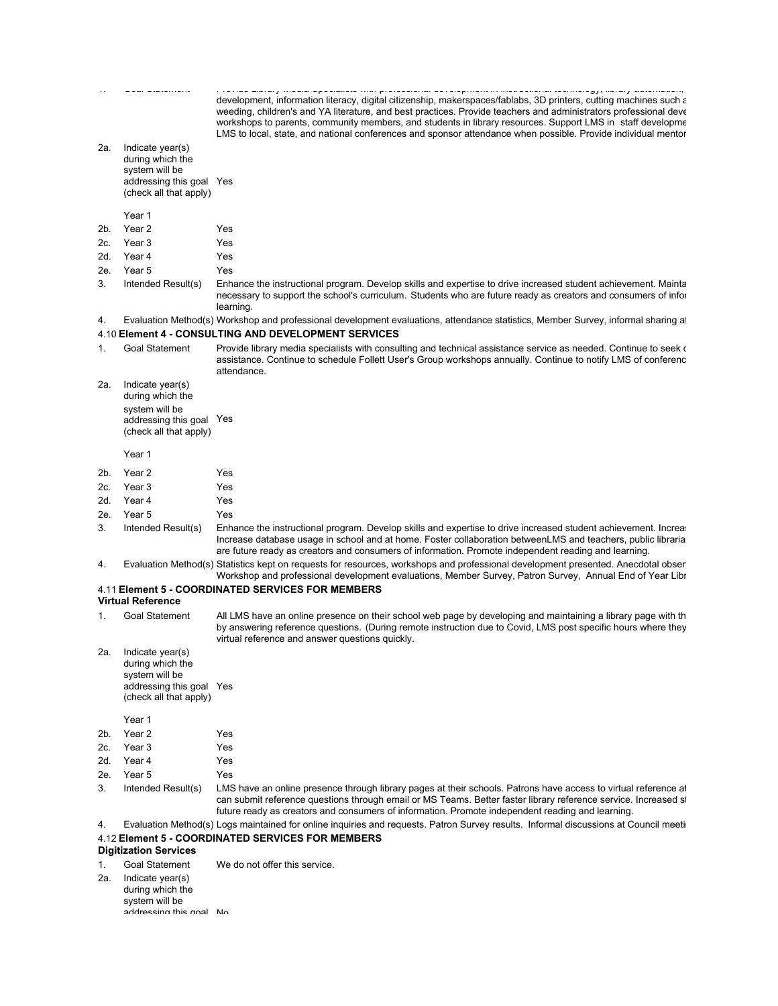1. Goal Statement Provide Library Media Specialists with professional development in instructional technology, library automation, collaboration, ESIFC, collection development, information literacy, digital citizenship, makerspaces/fablabs, 3D printers, cutting machines such a weeding, children's and YA literature, and best practices. Provide teachers and administrators professional deve workshops to parents, community members, and students in library resources. Support LMS in staff developme LMS to local, state, and national conferences and sponsor attendance when possible. Provide individual mentor 2a. Indicate year(s) during which the system will be addressing this goal Yes (check all that apply) Year 1 2b. Year 2 Yes 2c. Year 3 Yes 2d. Year 4 Yes 2e. Year 5 Yes 3. Intended Result(s) Enhance the instructional program. Develop skills and expertise to drive increased student achievement. Mainta necessary to support the school's curriculum. Students who are future ready as creators and consumers of infor learning. 4. Evaluation Method(s) Workshop and professional development evaluations, attendance statistics, Member Survey, informal sharing at 4.10 **Element 4 - CONSULTING AND DEVELOPMENT SERVICES** 1. Goal Statement Provide library media specialists with consulting and technical assistance service as needed. Continue to seek of assistance. Continue to schedule Follett User's Group workshops annually. Continue to notify LMS of conferenc attendance. 2a. Indicate year(s) during which the system will be addressing this goal Yes (check all that apply) Year 1 2b. Year 2 Yes 2c. Year 3 Yes 2d. Year 4 Yes 2e. Year 5 Yes 3. Intended Result(s) Enhance the instructional program. Develop skills and expertise to drive increased student achievement. Increa Increase database usage in school and at home. Foster collaboration betweenLMS and teachers, public libraria are future ready as creators and consumers of information. Promote independent reading and learning. 4. Evaluation Method(s) Statistics kept on requests for resources, workshops and professional development presented. Anecdotal obser Workshop and professional development evaluations, Member Survey, Patron Survey, Annual End of Year Libr 4.11 **Element 5 - COORDINATED SERVICES FOR MEMBERS Virtual Reference** 1. Goal Statement All LMS have an online presence on their school web page by developing and maintaining a library page with th by answering reference questions. (During remote instruction due to Covid, LMS post specific hours where they virtual reference and answer questions quickly. 2a. Indicate year(s) during which the system will be addressing this goal Yes (check all that apply) Year 1 2b. Year 2 Yes 2c. Year 3 Yes 2d. Year 4 Yes 2e. Year 5 Yes 3. Intended Result(s) LMS have an online presence through library pages at their schools. Patrons have access to virtual reference at can submit reference questions through email or MS Teams. Better faster library reference service. Increased st future ready as creators and consumers of information. Promote independent reading and learning. 4. Evaluation Method(s) Logs maintained for online inquiries and requests. Patron Survey results. Informal discussions at Council meeting 4.12 **Element 5 - COORDINATED SERVICES FOR MEMBERS Digitization Services** 1. Goal Statement We do not offer this service.

2a. Indicate year(s) during which the system will be addressing this goal No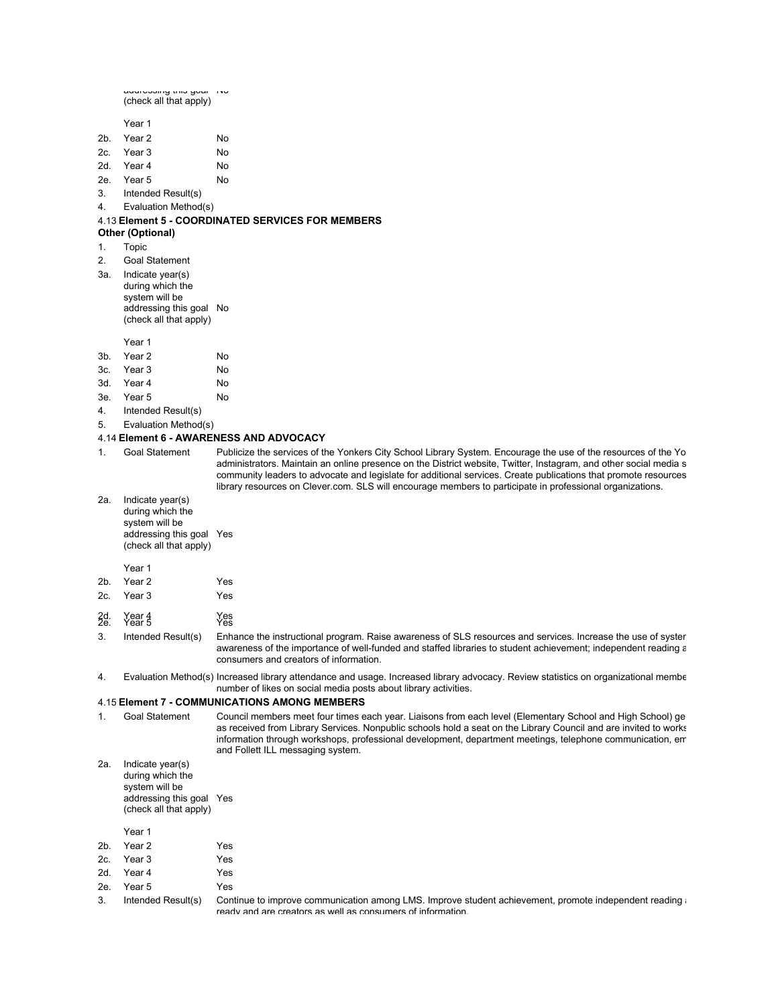addressing this goal No (check all that apply)

Year 1

- 2b. Year 2 No 2c. Year 3 No 2d. Year 4 No
- 2e. Year 5 No
- 3. Intended Result(s)
- 4. Evaluation Method(s)

#### 4.13 **Element 5 - COORDINATED SERVICES FOR MEMBERS**

#### **Other (Optional)**

- 1. Topic
- 2. Goal Statement
- 3a. Indicate year(s) during which the
- system will be addressing this goal No (check all that apply)

Year 1

| 3 <sub>b</sub> | Year 2     | No |
|----------------|------------|----|
|                | 3c. Year 3 | No |
|                | 3d. Year 4 | No |

- 3e. Year 5 No
- 4. Intended Result(s)
- 5. Evaluation Method(s)

#### 4.14 **Element 6 - AWARENESS AND ADVOCACY**

1. Goal Statement Publicize the services of the Yonkers City School Library System. Encourage the use of the resources of the Yo administrators. Maintain an online presence on the District website, Twitter, Instagram, and other social media s community leaders to advocate and legislate for additional services. Create publications that promote resources library resources on Clever.com. SLS will encourage members to participate in professional organizations.

2a. Indicate year(s) during which the system will be addressing this goal Yes (check all that apply)

#### Year 1

| 2b. Year 2 | Yes |
|------------|-----|
| 2c. Year 3 | Yes |
|            |     |

2d. Year 4 Yes 2e. Year 5 Yes

3. Intended Result(s) Enhance the instructional program. Raise awareness of SLS resources and services. Increase the use of syster awareness of the importance of well-funded and staffed libraries to student achievement; independent reading a consumers and creators of information.

4. Evaluation Method(s) Increased library attendance and usage. Increased library advocacy. Review statistics on organizational membe number of likes on social media posts about library activities.

#### 4.15 **Element 7 - COMMUNICATIONS AMONG MEMBERS**

1. Goal Statement Council members meet four times each year. Liaisons from each level (Elementary School and High School) ge as received from Library Services. Nonpublic schools hold a seat on the Library Council and are invited to works information through workshops, professional development, department meetings, telephone communication, emails, and Follett ILL messaging system.

2a. Indicate year(s) during which the system will be addressing this goal Yes (check all that apply)

Year 1

- 2b. Year 2 Yes 2c. Year 3 Yes
- 2d. Year 4 Yes
- 2e. Year 5 Yes
- 

3. Intended Result(s) Continue to improve communication among LMS. Improve student achievement, promote independent reading ready and are creators as well as consumers of information.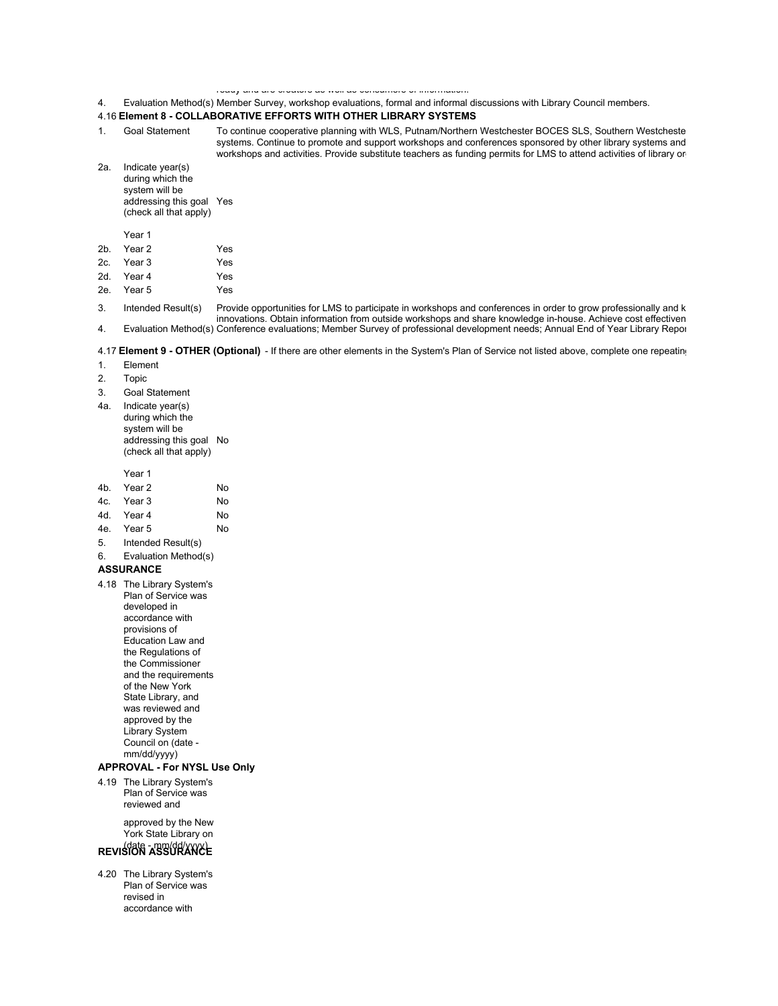### ready and are creators as well as consumers of information.

## 4. Evaluation Method(s) Member Survey, workshop evaluations, formal and informal discussions with Library Council members.

### 4.16 **Element 8 - COLLABORATIVE EFFORTS WITH OTHER LIBRARY SYSTEMS**

1. Goal Statement To continue cooperative planning with WLS, Putnam/Northern Westchester BOCES SLS, Southern Westcheste systems. Continue to promote and support workshops and conferences sponsored by other library systems and workshops and activities. Provide substitute teachers as funding permits for LMS to attend activities of library or

2a. Indicate year(s) during which the system will be addressing this goal Yes (check all that apply)

- Year 1
- 2b. Year 2 Yes 2c. Year 3 Yes 2d. Year 4 Yes
- 2e. Year 5 Yes
- 3. Intended Result(s) Provide opportunities for LMS to participate in workshops and conferences in order to grow professionally and k innovations. Obtain information from outside workshops and share knowledge in-house. Achieve cost effectiven 4. Evaluation Method(s) Conference evaluations; Member Survey of professional development needs; Annual End of Year Library Report.

#### 4.17 **Element 9 - OTHER (Optional)** - If there are other elements in the System's Plan of Service not listed above, complete one repeating

- 1. Element
- 2. Topic
- 3. Goal Statement
- 4a. Indicate year(s) during which the system will be addressing this goal No (check all that apply)

Year 1

| 4b. Year 2 | No |
|------------|----|
| 4c. Year 3 | No |
| 4d. Year 4 | No |

- 4e. Year 5 No
- 5. Intended Result(s)
- 6. Evaluation Method(s)

#### **ASSURANCE**

4.18 The Library System's Plan of Service was developed in accordance with provisions of Education Law and the Regulations of the Commissioner and the requirements of the New York State Library, and was reviewed and approved by the Library System Council on (date mm/dd/yyyy)

#### **APPROVAL - For NYSL Use Only**

4.19 The Library System's Plan of Service was reviewed and

> approved by the New York State Library on

# (date - mm/dd/yyyy) **REVISION ASSURANCE**

4.20 The Library System's Plan of Service was revised in accordance with